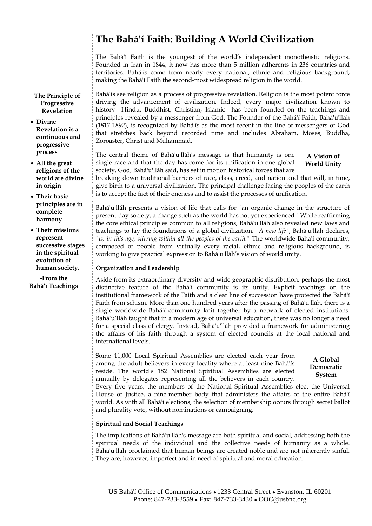# **The Bahá'í Faith: Building A World Civilization**

The Bahá'í Faith is the youngest of the world's independent monotheistic religions. Founded in Iran in 1844, it now has more than 5 million adherents in 236 countries and territories. Bahá'ís come from nearly every national, ethnic and religious background, making the Bahá'í Faith the second-most widespread religion in the world.

**The Principle of Progressive Revelation** 

- **Divine Revelation is a continuous and progressive process**
- **All the great religions of the world are divine in origin**
- **Their basic principles are in complete harmony**

• **Their missions represent successive stages in the spiritual evolution of human society.** 

**-From the Bahá'í Teachings** Bahá'ís see religion as a process of progressive revelation. Religion is the most potent force driving the advancement of civilization. Indeed, every major civilization known to history—Hindu, Buddhist, Christian, Islamic—has been founded on the teachings and principles revealed by a messenger from God. The Founder of the Bahá'í Faith, Bahá'u'lláh (1817-1892), is recognized by Bahá'ís as the most recent in the line of messengers of God that stretches back beyond recorded time and includes Abraham, Moses, Buddha, Zoroaster, Christ and Muhammad.

**A Vision of World Unity** The central theme of Bahá'u'lláh's message is that humanity is one single race and that the day has come for its unification in one global society. God, Bahá'u'lláh said, has set in motion historical forces that are

breaking down traditional barriers of race, class, creed, and nation and that will, in time, give birth to a universal civilization. The principal challenge facing the peoples of the earth is to accept the fact of their oneness and to assist the processes of unification.

Bahá'u'lláh presents a vision of life that calls for "an organic change in the structure of present-day society, a change such as the world has not yet experienced." While reaffirming the core ethical principles common to all religions, Bahá'u'lláh also revealed new laws and teachings to lay the foundations of a global civilization. *"A new life"*, Bahá'u'lláh declares, *"is, in this age, stirring within all the peoples of the earth."* The worldwide Bahá'í community, composed of people from virtually every racial, ethnic and religious background, is working to give practical expression to Bahá'u'lláh's vision of world unity.

## **Organization and Leadership**

Aside from its extraordinary diversity and wide geographic distribution, perhaps the most distinctive feature of the Bahá'í community is its unity. Explicit teachings on the institutional framework of the Faith and a clear line of succession have protected the Bahá'í Faith from schism. More than one hundred years after the passing of Bahá'u'lláh, there is a single worldwide Bahá'í community knit together by a network of elected institutions. Bahá'u'lláh taught that in a modern age of universal education, there was no longer a need for a special class of clergy. Instead, Bahá'u'lláh provided a framework for administering the affairs of his faith through a system of elected councils at the local national and international levels.

Some 11,000 Local Spiritual Assemblies are elected each year from among the adult believers in every locality where at least nine Bahá'ís reside. The world's 182 National Spiritual Assemblies are elected annually by delegates representing all the believers in each country.

**A Global Democratic System** 

Every five years, the members of the National Spiritual Assemblies elect the Universal House of Justice, a nine-member body that administers the affairs of the entire Bahá'í world. As with all Bahá'í elections, the selection of membership occurs through secret ballot and plurality vote, without nominations or campaigning.

## **Spiritual and Social Teachings**

The implications of Bahá'u'lláh's message are both spiritual and social, addressing both the spiritual needs of the individual and the collective needs of humanity as a whole. Baha'u'llah proclaimed that human beings are created noble and are not inherently sinful. They are, however, imperfect and in need of spiritual and moral education.